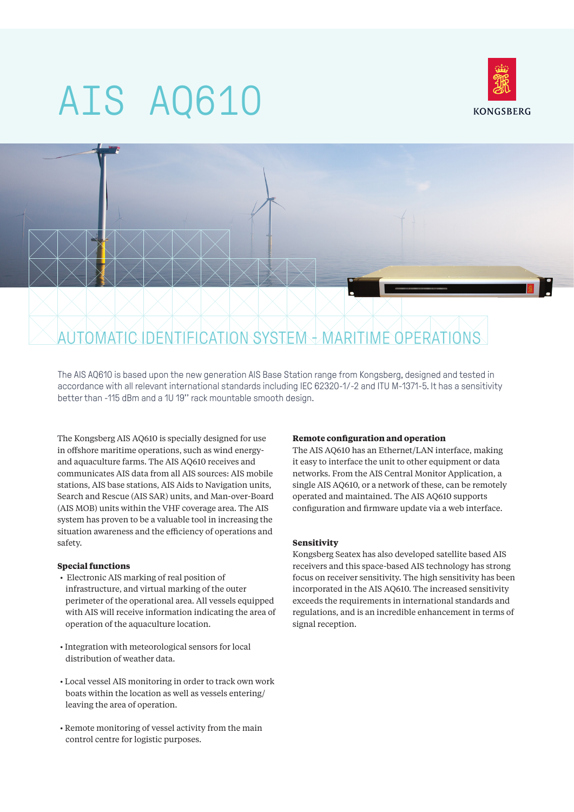# AIS AQ610





The AIS AQ610 is based upon the new generation AIS Base Station range from Kongsberg, designed and tested in accordance with all relevant international standards including IEC 62320-1/-2 and ITU M-1371-5. It has a sensitivity better than -115 dBm and a 1U 19'' rack mountable smooth design.

The Kongsberg AIS AQ610 is specially designed for use in offshore maritime operations, such as wind energyand aquaculture farms. The AIS AQ610 receives and communicates AIS data from all AIS sources: AIS mobile stations, AIS base stations, AIS Aids to Navigation units, Search and Rescue (AIS SAR) units, and Man-over-Board (AIS MOB) units within the VHF coverage area. The AIS system has proven to be a valuable tool in increasing the situation awareness and the efficiency of operations and safety.

## **Special functions**

- Electronic AIS marking of real position of infrastructure, and virtual marking of the outer perimeter of the operational area. All vessels equipped with AIS will receive information indicating the area of operation of the aquaculture location.
- Integration with meteorological sensors for local distribution of weather data.
- Local vessel AIS monitoring in order to track own work boats within the location as well as vessels entering/ leaving the area of operation.
- Remote monitoring of vessel activity from the main control centre for logistic purposes.

## **Remote configuration and operation**

The AIS AQ610 has an Ethernet/LAN interface, making it easy to interface the unit to other equipment or data networks. From the AIS Central Monitor Application, a single AIS AQ610, or a network of these, can be remotely operated and maintained. The AIS AQ610 supports configuration and firmware update via a web interface.

#### **Sensitivity**

Kongsberg Seatex has also developed satellite based AIS receivers and this space-based AIS technology has strong focus on receiver sensitivity. The high sensitivity has been incorporated in the AIS AQ610. The increased sensitivity exceeds the requirements in international standards and regulations, and is an incredible enhancement in terms of signal reception.